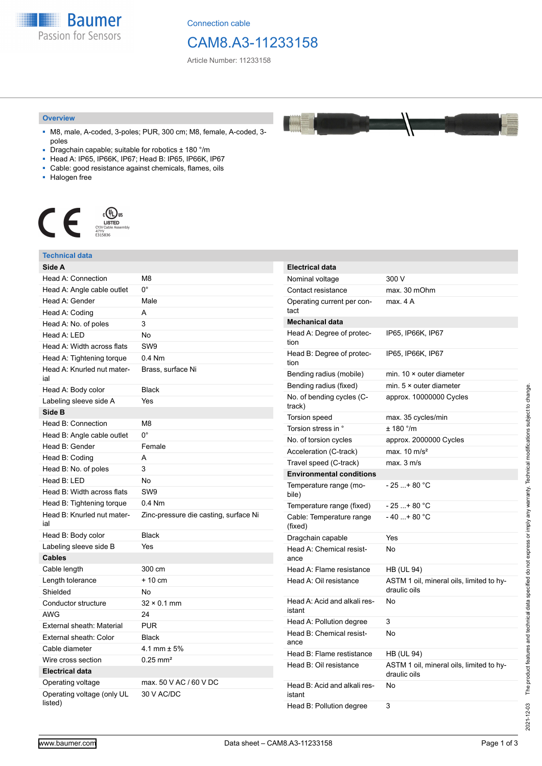**Baumer** Passion for Sensors

Connection cable

# CAM8.A3-11233158

Article Number: 11233158

#### **Overview**

- M8, male, A-coded, 3-poles; PUR, 300 cm; M8, female, A-coded, 3 poles
- Dragchain capable; suitable for robotics  $\pm$  180 °/m
- Head A: IP65, IP66K, IP67; Head B: IP65, IP66K, IP67
- Cable: good resistance against chemicals, flames, oils
- Halogen free



#### **Technical data Side A** Head A: Connection M8 Head A: Angle cable outlet 0° Head A: Gender Male Head A: Coding A Head A: No. of poles 3 Head A: LED No. Head A: Width across flats SW9 Head A: Tightening torque 0.4 Nm Head A: Knurled nut material Brass, surface Ni Head A: Body color Black Labeling sleeve side A Yes **Side B** Head B: Connection M8 Head B: Angle cable outlet 0° Head B: Gender Female Head B: Coding **A** Head B: No. of poles 3 Head B: LED No Head B: Width across flats SW9 Head B: Tightening torque 0.4 Nm Head B: Knurled nut material Zinc-pressure die casting, surface Ni Head B: Body color Black Labeling sleeve side B Yes **Cables** Cable length 300 cm Length tolerance  $+10$  cm Shielded No Conductor structure 32 × 0.1 mm AWG 24 External sheath: Material PUR External sheath: Color Black Cable diameter 4.1 mm ± 5% Wire cross section 0.25 mm<sup>2</sup> **Electrical data** Operating voltage max. 50 V AC / 60 V DC Operating voltage (only UL listed) 30 V AC/DC **Electrical data** Nominal voltage 300 V Contact resistance max. 30 mOhm Operating current per contact max. 4 A **Mechanical data** Head A: Degree of protection IP65, IP66K, IP67 Head B: Degree of protection IP65, IP66K, IP67 Bending radius (mobile) min. 10 × outer diameter Bending radius (fixed) min. 5 × outer diameter No. of bending cycles (Ctrack) approx. 10000000 Cycles Torsion speed max. 35 cycles/min Torsion stress in °  $\pm$  180 °/m No. of torsion cycles approx. 2000000 Cycles Acceleration (C-track) max. 10 m/s<sup>2</sup> Travel speed (C-track) max. 3 m/s **Environmental conditions** Temperature range (mobile)  $-25 + 80 °C$ Temperature range (fixed)  $-25...+80$  °C Cable: Temperature range (fixed)  $-40...+80 °C$ Dragchain capable Yes Head A: Chemical resistance No Head A: Flame resistance HB (UL 94) Head A: Oil resistance ASTM 1 oil, mineral oils, limited to hydraulic oils Head A: Acid and alkali resistant No Head A: Pollution degree 3 Head B: Chemical resistance No Head B: Flame restistance HB (UL 94) Head B: Oil resistance ASTM 1 oil, mineral oils, limited to hydraulic oils Head B: Acid and alkali resistant No Head B: Pollution degree 3

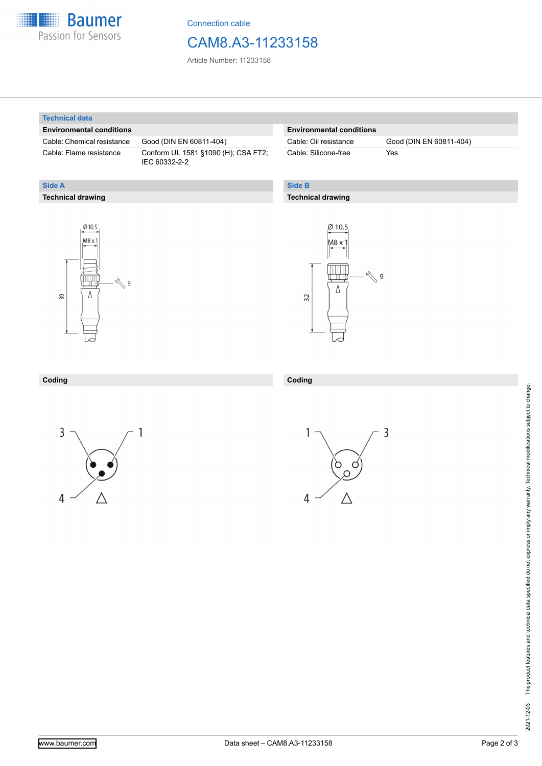

Connection cable

## CAM8.A3-11233158

Article Number: 11233158

#### **Technical data**

**Technical drawing**

**Side A**

#### **Environmental conditions**

Cable: Chemical resistance Good (DIN EN 60811-404)

Cable: Flame resistance Conform UL 1581 §1090 (H); CSA FT2; IEC 60332-2-2

### **Environmental conditions**

Cable: Silicone-free Yes

Cable: Oil resistance Good (DIN EN 60811-404)

### **Side B**

**Coding**

#### **Technical drawing**





### **Coding**





 $\overline{3}$